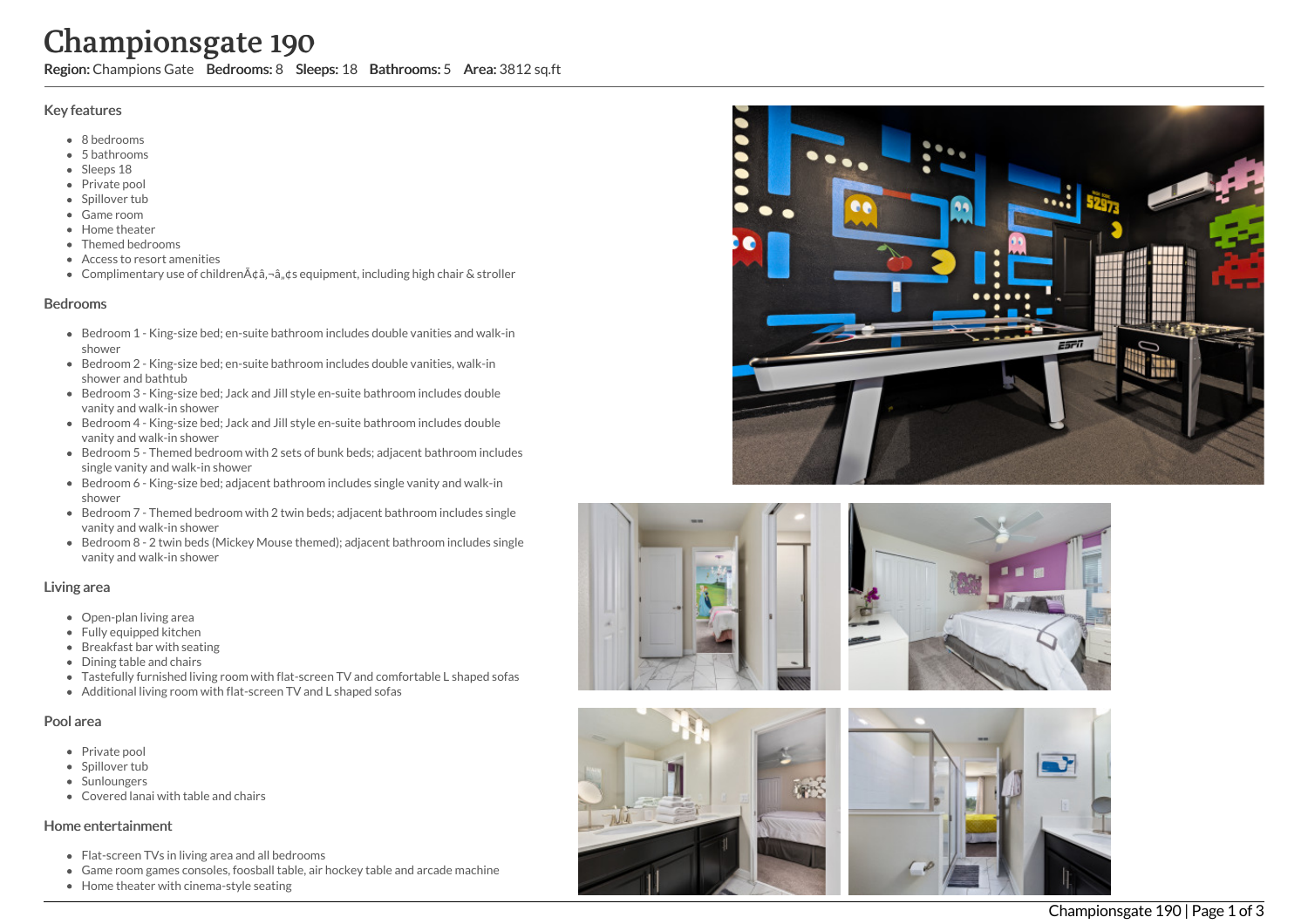# Championsgate 190

Region: Champions Gate Bedrooms: 8 Sleeps: 18 Bathrooms: 5 Area: 3812 sq.ft

## Key features

- 8 b e d r o o m s
- 5 b a t h r o o m s
- Sleeps 18
- Private pool
- Spillover tub
- Game room
- Home theate r
- Themed bedrooms
- Access to resort amenities
- Complimentary use of children¢â,¬â"¢s equipment, including high chair & stroller

## **Bedrooms**

- Bedroom 1 King-size bed; en-suite bathroom includes double vanities and walk-in s h o w e r
- Bedroom 2 King-size bed; en-suite bathroom includes double vanities, walk-in shower and bathtub
- Bedroom 3 King-size bed; Jack and Jill style en-suite bathroom includes double vanity and walk-in shower
- Bedroom 4 King-size bed; Jack and Jill style en-suite bathroom includes double vanity and walk-in shower
- Bedroom 5 Themed bedroom with 2 sets of bunk beds; adjacent bathroom includes single vanity and walk-in shower
- Bedroom 6 King-size bed; adjacent bathroom includes single vanity and walk-in s h o w e r
- Bedroom 7 Themed bedroom with 2 twin beds; adjacent bathroom includes single vanity and walk-in shower
- Bedroom 8 2 twin beds (Mickey Mouse themed); adjacent bathroom includes single vanity and walk-in shower

## Living area

- Open-plan living area
- Fully equipped kitchen
- Breakfast bar with seating
- Dining table and chairs
- Tastefully furnished living room with flat-screen TV and comfortable L shaped sofas
- Additional living room with flat-screen TV and L shaped sofas

## Pool area

- Private pool
- Spillover tub
- Sunloungers
- Covered lanai with table and chairs

# Home entertainment

- Flat-screen TVs in living area and all bedrooms
- Game room games consoles, foosball table, air hockey table and arcade machine
- Home theater with cinema-style seating









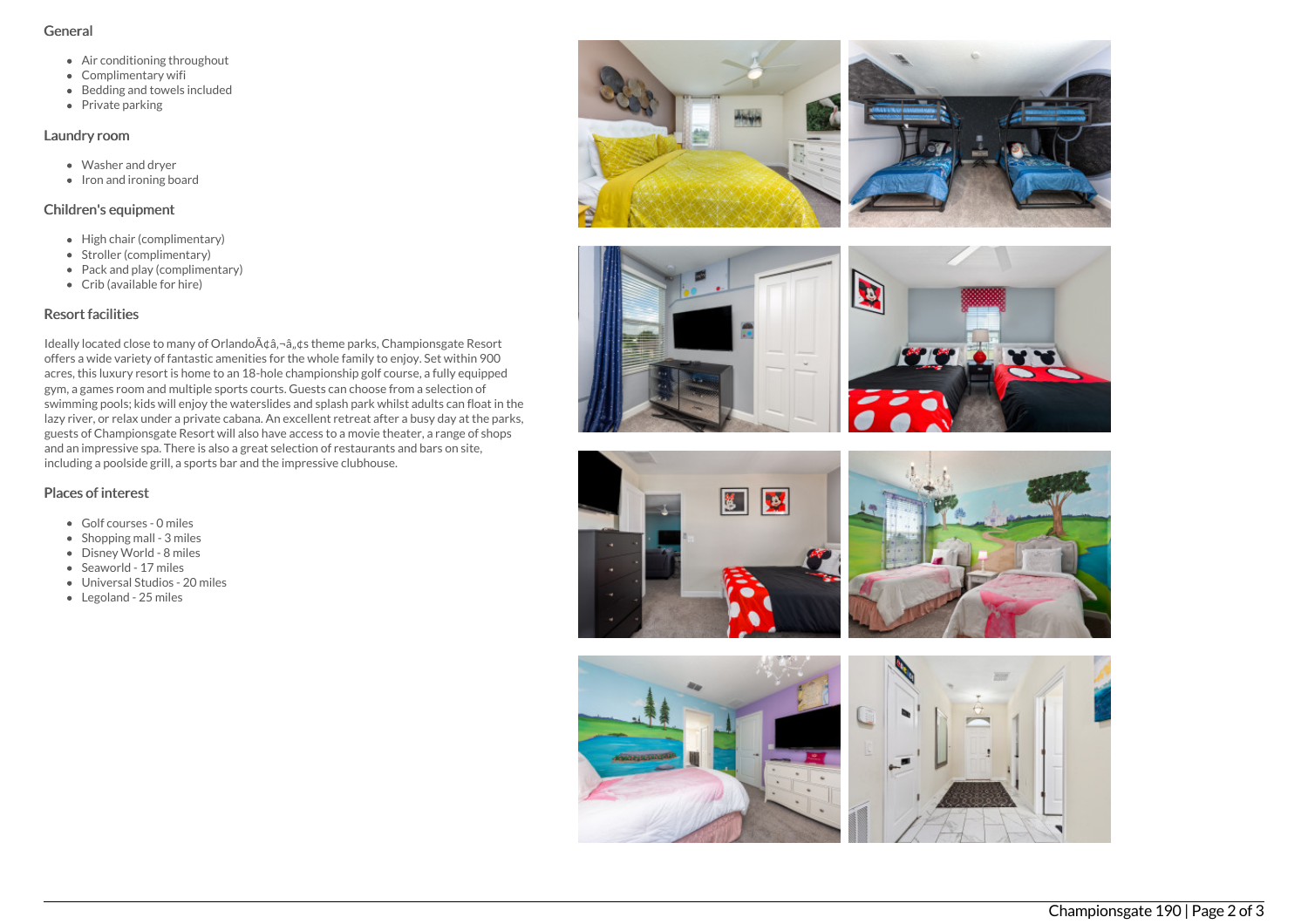#### General

- Air conditioning throughout
- Complimentary wifi
- Bedding and towels included
- Private parking

## Laundry room

- Washer and dryer
- $\bullet$  Iron and ironing board

# Children's equipment

- High chair (complimentary)
- Stroller (complimentary)
- Pack and play (complimentary)
- Crib (available for hire)

# Resort facilities

Ideally located close to many of Orlando A¢â,¬â, ¢s theme parks, Championsgate Resort offers a wide variety of fantastic amenities for the whole family to enjoy. Set within 900 acres, this luxury resort is home to an 18-hole championship golf course, a fully equipped gym, a games room and multiple sports courts. Guests can choose from a selection of swimming pools; kids will enjoy the waterslides and splash park whilst adults can float in the lazy river, or relax under a private cabana. An excellent retreat after a busy day at the parks, guests of Championsgate Resort will also have access to a movie theater, a range of shops and an impressive spa. There is also a great selection of restaurants and bars on site, including a poolside grill, a sports bar and the impressive clubhouse.

# Places of interest

- Golf courses 0 miles
- $\bullet$  Shopping mall 3 miles
- Disney World 8 miles
- Seaworld 17 miles
- Universal Studios 20 miles
- Legoland 25 miles